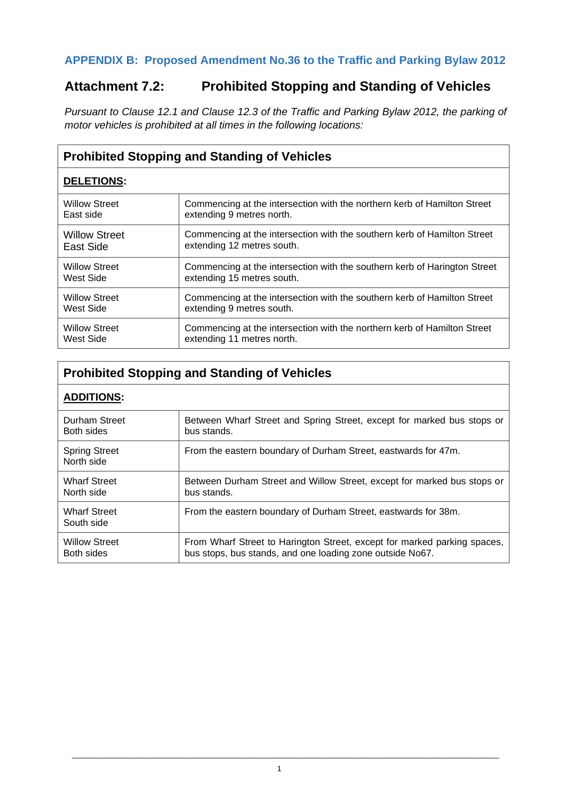### **APPENDIX B: Proposed Amendment No.36 to the Traffic and Parking Bylaw 2012**

## **Attachment 7.2: Prohibited Stopping and Standing of Vehicles**

*Pursuant to Clause 12.1 and Clause 12.3 of the Traffic and Parking Bylaw 2012, the parking of motor vehicles is prohibited at all times in the following locations:*

| <b>Prohibited Stopping and Standing of Vehicles</b> |                                                                           |  |
|-----------------------------------------------------|---------------------------------------------------------------------------|--|
| <b>DELETIONS:</b>                                   |                                                                           |  |
| <b>Willow Street</b>                                | Commencing at the intersection with the northern kerb of Hamilton Street  |  |
| East side                                           | extending 9 metres north.                                                 |  |
| Willow Street                                       | Commencing at the intersection with the southern kerb of Hamilton Street  |  |
| East Side                                           | extending 12 metres south.                                                |  |
| <b>Willow Street</b>                                | Commencing at the intersection with the southern kerb of Harington Street |  |
| West Side                                           | extending 15 metres south.                                                |  |
| <b>Willow Street</b>                                | Commencing at the intersection with the southern kerb of Hamilton Street  |  |
| West Side                                           | extending 9 metres south.                                                 |  |
| <b>Willow Street</b>                                | Commencing at the intersection with the northern kerb of Hamilton Street  |  |
| West Side                                           | extending 11 metres north.                                                |  |

## **Prohibited Stopping and Standing of Vehicles**

#### **ADDITIONS:**

| Durham Street                      | Between Wharf Street and Spring Street, except for marked bus stops or   |  |
|------------------------------------|--------------------------------------------------------------------------|--|
| Both sides                         | bus stands.                                                              |  |
| <b>Spring Street</b><br>North side | From the eastern boundary of Durham Street, eastwards for 47m.           |  |
| <b>Wharf Street</b>                | Between Durham Street and Willow Street, except for marked bus stops or  |  |
| North side                         | bus stands.                                                              |  |
| <b>Wharf Street</b><br>South side  | From the eastern boundary of Durham Street, eastwards for 38m.           |  |
| <b>Willow Street</b>               | From Wharf Street to Harington Street, except for marked parking spaces, |  |
| Both sides                         | bus stops, bus stands, and one loading zone outside No67.                |  |

\_\_\_\_\_\_\_\_\_\_\_\_\_\_\_\_\_\_\_\_\_\_\_\_\_\_\_\_\_\_\_\_\_\_\_\_\_\_\_\_\_\_\_\_\_\_\_\_\_\_\_\_\_\_\_\_\_\_\_\_\_\_\_\_\_\_\_\_\_\_\_\_\_\_\_\_\_\_\_\_\_\_\_\_\_\_\_\_\_\_\_\_\_\_\_\_\_\_\_\_\_